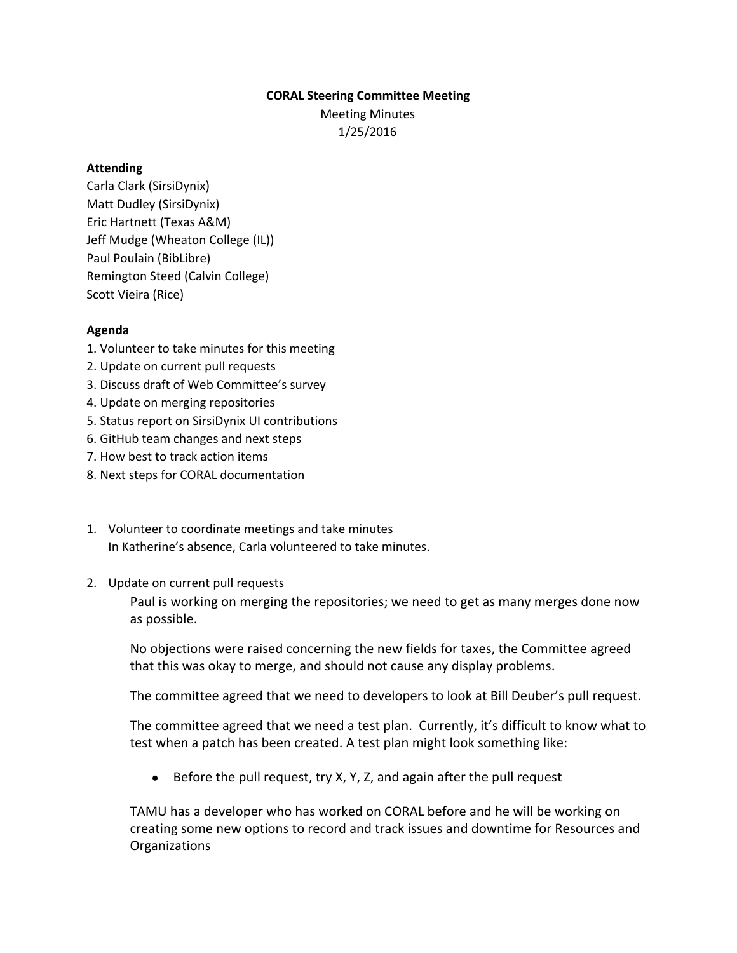## **CORAL Steering Committee Meeting**

Meeting Minutes 1/25/2016

## **Attending**

Carla Clark (SirsiDynix) Matt Dudley (SirsiDynix) Eric Hartnett (Texas A&M) Jeff Mudge (Wheaton College (IL)) Paul Poulain (BibLibre) Remington Steed (Calvin College) Scott Vieira (Rice)

## **Agenda**

- 1. Volunteer to take minutes for this meeting
- 2. Update on current pull requests
- 3. Discuss draft of Web Committee's survey
- 4. Update on merging repositories
- 5. Status report on SirsiDynix UI contributions
- 6. GitHub team changes and next steps
- 7. How best to track action items
- 8. Next steps for CORAL documentation
- 1. Volunteer to coordinate meetings and take minutes In Katherine's absence, Carla volunteered to take minutes.
- 2. Update on current pull requests

Paul is working on merging the repositories; we need to get as many merges done now as possible.

No objections were raised concerning the new fields for taxes, the Committee agreed that this was okay to merge, and should not cause any display problems.

The committee agreed that we need to developers to look at Bill Deuber's pull request.

The committee agreed that we need a test plan. Currently, it's difficult to know what to test when a patch has been created. A test plan might look something like:

● Before the pull request, try X, Y, Z, and again after the pull request

TAMU has a developer who has worked on CORAL before and he will be working on creating some new options to record and track issues and downtime for Resources and **Organizations**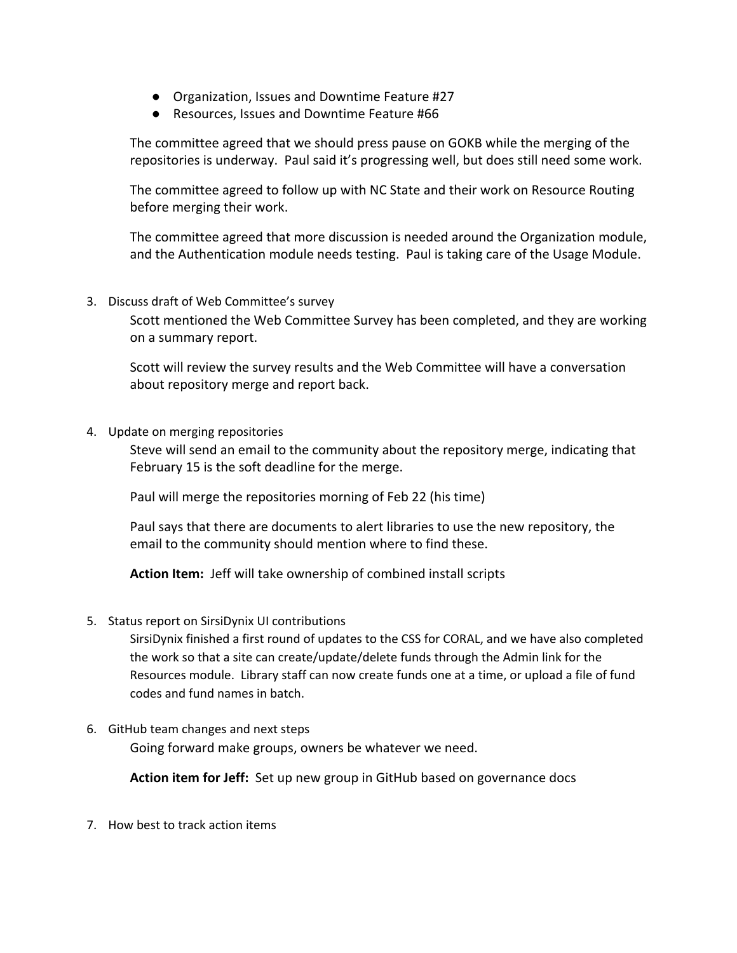- Organization, Issues and Downtime Feature #27
- Resources, Issues and Downtime Feature #66

The committee agreed that we should press pause on GOKB while the merging of the repositories is underway. Paul said it's progressing well, but does still need some work.

The committee agreed to follow up with NC State and their work on Resource Routing before merging their work.

The committee agreed that more discussion is needed around the Organization module, and the Authentication module needs testing. Paul is taking care of the Usage Module.

3. Discuss draft of Web Committee's survey

Scott mentioned the Web Committee Survey has been completed, and they are working on a summary report.

Scott will review the survey results and the Web Committee will have a conversation about repository merge and report back.

4. Update on merging repositories

Steve will send an email to the community about the repository merge, indicating that February 15 is the soft deadline for the merge.

Paul will merge the repositories morning of Feb 22 (his time)

Paul says that there are documents to alert libraries to use the new repository, the email to the community should mention where to find these.

Action Item: Jeff will take ownership of combined install scripts

5. Status report on SirsiDynix UI contributions

SirsiDynix finished a first round of updates to the CSS for CORAL, and we have also completed the work so that a site can create/update/delete funds through the Admin link for the Resources module. Library staff can now create funds one at a time, or upload a file of fund codes and fund names in batch.

6. GitHub team changes and next steps Going forward make groups, owners be whatever we need.

**Action item for Jeff:** Set up new group in GitHub based on governance docs

7. How best to track action items